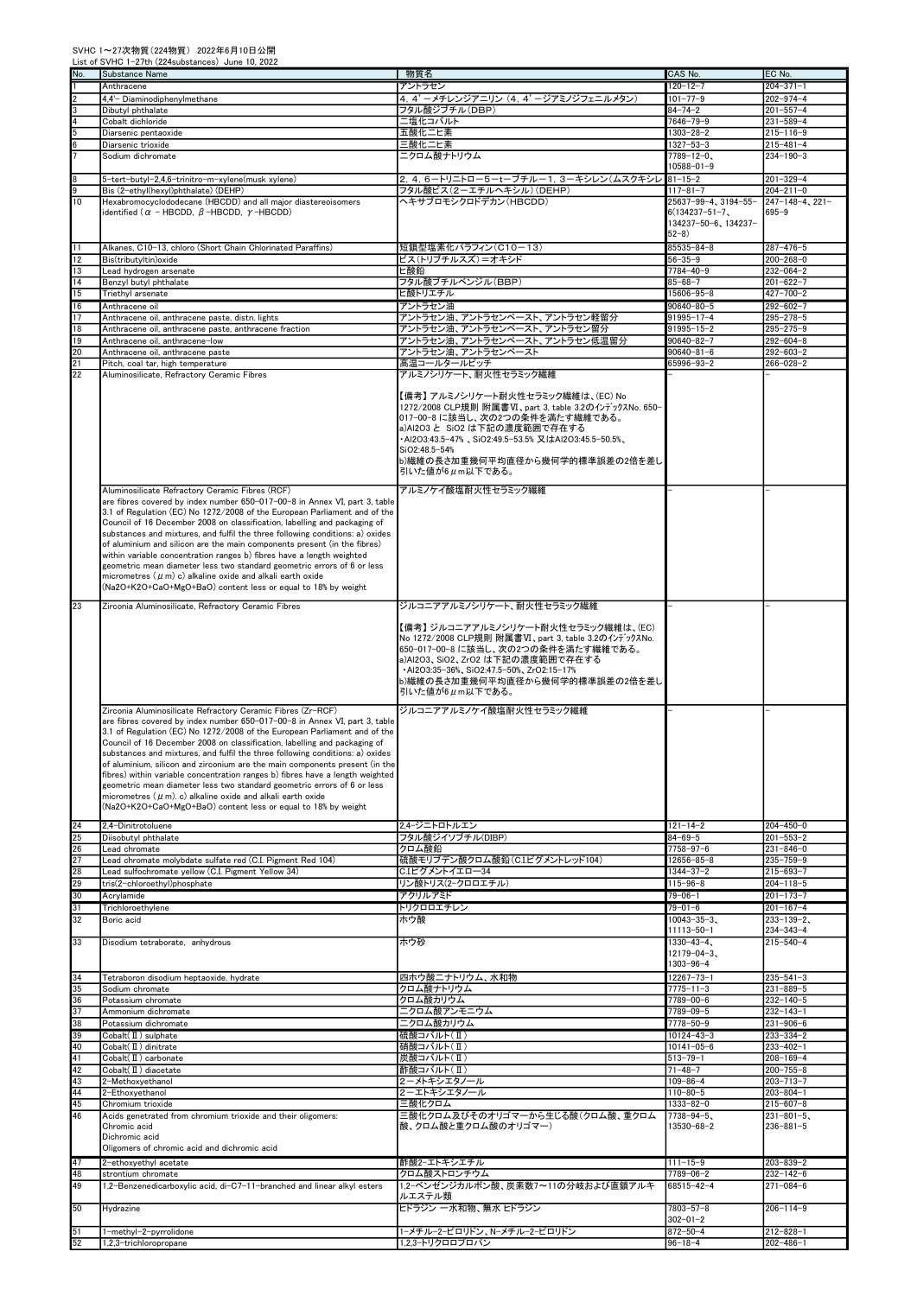| No.             | Substance Name                                                                                                                                                                                                                                                                                                                                                                                                                                                                                                                                                                                                                                                                                                                                                       | 物質名                                                                                                                                                                                                                                                                                        | CAS No.                             | EC No.                             |
|-----------------|----------------------------------------------------------------------------------------------------------------------------------------------------------------------------------------------------------------------------------------------------------------------------------------------------------------------------------------------------------------------------------------------------------------------------------------------------------------------------------------------------------------------------------------------------------------------------------------------------------------------------------------------------------------------------------------------------------------------------------------------------------------------|--------------------------------------------------------------------------------------------------------------------------------------------------------------------------------------------------------------------------------------------------------------------------------------------|-------------------------------------|------------------------------------|
|                 | Anthracene                                                                                                                                                                                                                                                                                                                                                                                                                                                                                                                                                                                                                                                                                                                                                           | アントラセン                                                                                                                                                                                                                                                                                     | $120 - 12 - 7$                      | $204 - 371 - 1$                    |
|                 | 4.4'- Diaminodiphenylmethane                                                                                                                                                                                                                                                                                                                                                                                                                                                                                                                                                                                                                                                                                                                                         | 4, 4' -メチレンジアニリン (4, 4' -ジアミノジフェニルメタン)                                                                                                                                                                                                                                                     | $101 - 77 - 9$                      | $202 - 974 - 4$                    |
|                 | Dibutyl phthalate                                                                                                                                                                                                                                                                                                                                                                                                                                                                                                                                                                                                                                                                                                                                                    | フタル酸ジブチル(DBP)                                                                                                                                                                                                                                                                              | $84 - 74 - 2$                       | $201 - 557 - 4$                    |
|                 | Cobalt dichloride<br>Diarsenic pentaoxide                                                                                                                                                                                                                                                                                                                                                                                                                                                                                                                                                                                                                                                                                                                            | 二塩化コバルト<br>五酸化二ヒ素                                                                                                                                                                                                                                                                          | $7646 - 79 - 9$<br>$1303 - 28 - 2$  | $231 - 589 - 4$<br>$215 - 116 - 9$ |
|                 | Diarsenic trioxide                                                                                                                                                                                                                                                                                                                                                                                                                                                                                                                                                                                                                                                                                                                                                   | 三酸化二ヒ素                                                                                                                                                                                                                                                                                     | 1327-53-3                           | $215 - 481 - 4$                    |
|                 | Sodium dichromate                                                                                                                                                                                                                                                                                                                                                                                                                                                                                                                                                                                                                                                                                                                                                    | ニクロム酸ナトリウム                                                                                                                                                                                                                                                                                 | $7789 - 12 - 0$                     | $234 - 190 - 3$                    |
|                 |                                                                                                                                                                                                                                                                                                                                                                                                                                                                                                                                                                                                                                                                                                                                                                      |                                                                                                                                                                                                                                                                                            | $10588 - 01 - 9$                    |                                    |
|                 | 5-tert-butyl-2,4,6-trinitro-m-xylene(musk xylene)                                                                                                                                                                                                                                                                                                                                                                                                                                                                                                                                                                                                                                                                                                                    | 2, 4, 6-トリニトロー5-tーブチルー1, 3ーキシレン(ムスクキシレ 81-15-2                                                                                                                                                                                                                                             |                                     | $201 - 329 - 4$                    |
|                 | Bis (2-ethyl(hexyl)phthalate) (DEHP)                                                                                                                                                                                                                                                                                                                                                                                                                                                                                                                                                                                                                                                                                                                                 | フタル酸ビス(2-エチルヘキシル)(DEHP)                                                                                                                                                                                                                                                                    | $117 - 81 - 7$                      | $204 - 211 - 0$                    |
| 10              | Hexabromocyclododecane (HBCDD) and all major diastereoisomers                                                                                                                                                                                                                                                                                                                                                                                                                                                                                                                                                                                                                                                                                                        | ヘキサブロモシクロドデカン(HBCDD)                                                                                                                                                                                                                                                                       | 25637-99-4、3194-55-                 | $247 - 148 - 4, 221 -$             |
|                 | identified ( $\alpha$ - HBCDD, $\beta$ -HBCDD, $\gamma$ -HBCDD)                                                                                                                                                                                                                                                                                                                                                                                                                                                                                                                                                                                                                                                                                                      |                                                                                                                                                                                                                                                                                            | $6(134237 - 51 - 7)$                | $695 - 9$                          |
|                 |                                                                                                                                                                                                                                                                                                                                                                                                                                                                                                                                                                                                                                                                                                                                                                      |                                                                                                                                                                                                                                                                                            | 134237-50-6、134237-                 |                                    |
|                 |                                                                                                                                                                                                                                                                                                                                                                                                                                                                                                                                                                                                                                                                                                                                                                      |                                                                                                                                                                                                                                                                                            | $52 - 8$                            |                                    |
| 11              | Alkanes, C10-13, chloro (Short Chain Chlorinated Paraffins)                                                                                                                                                                                                                                                                                                                                                                                                                                                                                                                                                                                                                                                                                                          | 短鎖型塩素化パラフィン(C10-13)                                                                                                                                                                                                                                                                        | $85535 - 84 - 8$<br>$56 - 35 - 9$   | $287 - 476 - 5$                    |
| 12<br>13        | Bis(tributyltin)oxide<br>Lead hydrogen arsenate                                                                                                                                                                                                                                                                                                                                                                                                                                                                                                                                                                                                                                                                                                                      | ビス(トリブチルスズ)=オキシド<br>ヒ酸鉛                                                                                                                                                                                                                                                                    | $7784 - 40 - 9$                     | $200 - 268 - 0$<br>$232 - 064 - 2$ |
| $\overline{14}$ | Benzyl butyl phthalate                                                                                                                                                                                                                                                                                                                                                                                                                                                                                                                                                                                                                                                                                                                                               | フタル酸ブチルベンジル(BBP)                                                                                                                                                                                                                                                                           | $85 - 68 - 7$                       | $201 - 622 - 7$                    |
| 15              | Triethyl arsenate                                                                                                                                                                                                                                                                                                                                                                                                                                                                                                                                                                                                                                                                                                                                                    | ヒ酸トリエチル                                                                                                                                                                                                                                                                                    | 15606-95-8                          | $427 - 700 - 2$                    |
| 16              | Anthracene oil                                                                                                                                                                                                                                                                                                                                                                                                                                                                                                                                                                                                                                                                                                                                                       | アントラセン油                                                                                                                                                                                                                                                                                    | $90640 - 80 - 5$                    | $292 - 602 - 7$                    |
| 17              | Anthracene oil, anthracene paste, distn. lights                                                                                                                                                                                                                                                                                                                                                                                                                                                                                                                                                                                                                                                                                                                      | アントラセン油、アントラセンペースト、アントラセン軽留分                                                                                                                                                                                                                                                               | $91995 - 17 - 4$                    | $295 - 278 - 5$                    |
| 18              | Anthracene oil, anthracene paste, anthracene fraction                                                                                                                                                                                                                                                                                                                                                                                                                                                                                                                                                                                                                                                                                                                | アントラセン油、アントラセンペースト、アントラセン留分                                                                                                                                                                                                                                                                | $91995 - 15 - 2$                    | $295 - 275 - 9$                    |
| 19              | Anthracene oil, anthracene-low                                                                                                                                                                                                                                                                                                                                                                                                                                                                                                                                                                                                                                                                                                                                       | アントラセン油、アントラセンペースト、アントラセン低温留分                                                                                                                                                                                                                                                              | $90640 - 82 - 7$                    | $292 - 604 - 8$                    |
| 20              | Anthracene oil, anthracene paste                                                                                                                                                                                                                                                                                                                                                                                                                                                                                                                                                                                                                                                                                                                                     | アントラセン油、アントラセンペースト                                                                                                                                                                                                                                                                         | $90640 - 81 - 6$                    | 292-603-2                          |
| 21              | Pitch, coal tar, high temperature                                                                                                                                                                                                                                                                                                                                                                                                                                                                                                                                                                                                                                                                                                                                    | 高温コールタールピッチ                                                                                                                                                                                                                                                                                | 65996-93-2                          | 266-028-2                          |
| 22              | Aluminosilicate, Refractory Ceramic Fibres                                                                                                                                                                                                                                                                                                                                                                                                                                                                                                                                                                                                                                                                                                                           | アルミノシリケート、耐火性セラミック繊維                                                                                                                                                                                                                                                                       |                                     |                                    |
|                 |                                                                                                                                                                                                                                                                                                                                                                                                                                                                                                                                                                                                                                                                                                                                                                      | 【備考】 アルミノシリケート耐火性セラミック繊維は、(EC) No<br>1272/2008 CLP規則 附属書VI、part 3, table 3.2のインデックスNo. 650-<br>017-00-8 に該当し、次の2つの条件を満たす繊維である。<br>a)Al2O3 と SiO2 は下記の濃度範囲で存在する<br>•AI2O3:43.5-47%、SiO2:49.5-53.5%又はAI2O3:45.5-50.5%、<br>SiO2:48.5-54%<br>b)繊維の長さ加重幾何平均直径から幾何学的標準誤差の2倍を差し<br>引いた値が6μm以下である。 |                                     |                                    |
|                 | Aluminosilicate Refractory Ceramic Fibres (RCF)<br>are fibres covered by index number 650-017-00-8 in Annex VI, part 3, table<br>3.1 of Regulation (EC) No 1272/2008 of the European Parliament and of the<br>Council of 16 December 2008 on classification, labelling and packaging of<br>substances and mixtures, and fulfil the three following conditions: a) oxides<br>of aluminium and silicon are the main components present (in the fibres)<br>within variable concentration ranges b) fibres have a length weighted<br>geometric mean diameter less two standard geometric errors of 6 or less<br>micrometres $(\mu m)$ c) alkaline oxide and alkali earth oxide<br>(Na2O+K2O+CaO+MgO+BaO) content less or equal to 18% by weight                          | アルミノケイ酸塩耐火性セラミック繊維                                                                                                                                                                                                                                                                         |                                     |                                    |
| 23              | Zirconia Aluminosilicate, Refractory Ceramic Fibres                                                                                                                                                                                                                                                                                                                                                                                                                                                                                                                                                                                                                                                                                                                  | ジルコニアアルミノシリケート、耐火性セラミック繊維                                                                                                                                                                                                                                                                  |                                     |                                    |
|                 |                                                                                                                                                                                                                                                                                                                                                                                                                                                                                                                                                                                                                                                                                                                                                                      | 【備考】 ジルコニアアルミノシリケート耐火性セラミック繊維は、(EC)<br>No 1272/2008 CLP規則 附属書VI、part 3, table 3.2のインデックスNo.<br>650-017-00-8 に該当し、次の2つの条件を満たす繊維である。<br>a)Al2O3、SiO2、ZrO2 は下記の濃度範囲で存在する<br>-AI2O3:35-36%, SiO2:47.5-50%, ZrO2:15-17%<br>b)繊維の長さ加重幾何平均直径から幾何学的標準誤差の2倍を差し<br>引いた値が6μm以下である。                    |                                     |                                    |
|                 | Zirconia Aluminosilicate Refractory Ceramic Fibres (Zr-RCF)<br>are fibres covered by index number 650-017-00-8 in Annex VI, part 3, table<br>3.1 of Regulation (EC) No 1272/2008 of the European Parliament and of the<br>Council of 16 December 2008 on classification, labelling and packaging of<br>substances and mixtures, and fulfil the three following conditions: a) oxides<br>of aluminium, silicon and zirconium are the main components present (in the<br>fibres) within variable concentration ranges b) fibres have a length weighted<br>geometric mean diameter less two standard geometric errors of 6 or less<br>micrometres ( $\mu$ m), c) alkaline oxide and alkali earth oxide<br>(Na2O+K2O+CaO+MgO+BaO) content less or equal to 18% by weight | ジルコニアアルミノケイ酸塩耐火性セラミック繊維                                                                                                                                                                                                                                                                    |                                     |                                    |
| 24              | 2,4-Dinitrotoluene                                                                                                                                                                                                                                                                                                                                                                                                                                                                                                                                                                                                                                                                                                                                                   | 2.4-ジニトロトルエン                                                                                                                                                                                                                                                                               | $121 - 14 - 2$                      | $204 - 450 - 0$                    |
| 25<br>26        | Diisobutyl phthalate<br>Lead chromate                                                                                                                                                                                                                                                                                                                                                                                                                                                                                                                                                                                                                                                                                                                                | フタル酸ジイソブチル(DIBP)<br>クロム酸鉛                                                                                                                                                                                                                                                                  | $84 - 69 - 5$<br>7758-97-6          | $201 - 553 - 2$<br>$231 - 846 - 0$ |
| 27              | Lead chromate molybdate sulfate red (C.I. Pigment Red 104)                                                                                                                                                                                                                                                                                                                                                                                                                                                                                                                                                                                                                                                                                                           | 硫酸モリブデン酸クロム酸鉛(C.Iピグメントレッド104)                                                                                                                                                                                                                                                              | 12656-85-8                          | $235 - 759 - 9$                    |
| 28              | Lead sulfochromate yellow (C.I. Pigment Yellow 34)                                                                                                                                                                                                                                                                                                                                                                                                                                                                                                                                                                                                                                                                                                                   | C.I.ピグメントイエロー34                                                                                                                                                                                                                                                                            | 1344-37-2                           | $215 - 693 - 7$                    |
| 29              | tris(2-chloroethyl)phosphate                                                                                                                                                                                                                                                                                                                                                                                                                                                                                                                                                                                                                                                                                                                                         | リン酸トリス(2-クロロエチル)                                                                                                                                                                                                                                                                           | $115 - 96 - 8$                      | $204 - 118 - 5$                    |
| 30              | Acrylamide                                                                                                                                                                                                                                                                                                                                                                                                                                                                                                                                                                                                                                                                                                                                                           | アクリルアミド                                                                                                                                                                                                                                                                                    | 79-06-1                             | $201 - 173 - 7$                    |
| 31              | Trichloroethylene                                                                                                                                                                                                                                                                                                                                                                                                                                                                                                                                                                                                                                                                                                                                                    | トリクロロエチレン                                                                                                                                                                                                                                                                                  | $79 - 01 - 6$                       | $201 - 167 - 4$                    |
| 32              | Boric acid                                                                                                                                                                                                                                                                                                                                                                                                                                                                                                                                                                                                                                                                                                                                                           | ホウ酸                                                                                                                                                                                                                                                                                        | $10043 - 35 - 3$                    | $233 - 139 - 2$                    |
|                 |                                                                                                                                                                                                                                                                                                                                                                                                                                                                                                                                                                                                                                                                                                                                                                      |                                                                                                                                                                                                                                                                                            | 11113-50-1                          | $234 - 343 - 4$                    |
| 33              | Disodium tetraborate, anhydrous                                                                                                                                                                                                                                                                                                                                                                                                                                                                                                                                                                                                                                                                                                                                      | ホウ砂                                                                                                                                                                                                                                                                                        | $1330 - 43 - 4$<br>$12179 - 04 - 3$ | $215 - 540 - 4$                    |
|                 |                                                                                                                                                                                                                                                                                                                                                                                                                                                                                                                                                                                                                                                                                                                                                                      |                                                                                                                                                                                                                                                                                            | 1303-96-4                           |                                    |
| 34              | Tetraboron disodium heptaoxide, hydrate                                                                                                                                                                                                                                                                                                                                                                                                                                                                                                                                                                                                                                                                                                                              | 四ホウ酸ニナトリウム、水和物                                                                                                                                                                                                                                                                             | $12267 - 73 - 1$                    | $235 - 541 - 3$                    |
| 35              | Sodium chromate                                                                                                                                                                                                                                                                                                                                                                                                                                                                                                                                                                                                                                                                                                                                                      | クロム酸ナトリウム                                                                                                                                                                                                                                                                                  | $7775 - 11 - 3$                     | $231 - 889 - 5$                    |
| 36              | Potassium chromate                                                                                                                                                                                                                                                                                                                                                                                                                                                                                                                                                                                                                                                                                                                                                   | クロム酸カリウム                                                                                                                                                                                                                                                                                   | 7789-00-6                           | $232 - 140 - 5$                    |
| 37              | Ammonium dichromate                                                                                                                                                                                                                                                                                                                                                                                                                                                                                                                                                                                                                                                                                                                                                  | ニクロム酸アンモニウム                                                                                                                                                                                                                                                                                | 7789-09-5                           | $232 - 143 - 1$                    |
| 38              | Potassium dichromate                                                                                                                                                                                                                                                                                                                                                                                                                                                                                                                                                                                                                                                                                                                                                 | ニクロム酸カリウム                                                                                                                                                                                                                                                                                  | 7778-50-9                           | $231 - 906 - 6$                    |
| 39              | $Cobalt(\mathbb{I})$ sulphate                                                                                                                                                                                                                                                                                                                                                                                                                                                                                                                                                                                                                                                                                                                                        | 硫酸コバルト(Ⅱ)                                                                                                                                                                                                                                                                                  | $10124 - 43 - 3$                    | $233 - 334 - 2$                    |
| 40              | $Cobalt( \Pi ) dinitrate$                                                                                                                                                                                                                                                                                                                                                                                                                                                                                                                                                                                                                                                                                                                                            | 硝酸コバルト(Ⅱ)                                                                                                                                                                                                                                                                                  | $10141 - 05 - 6$                    | $233 - 402 - 1$                    |
| 41              | $Cobalt( \Pi ) carbonate$                                                                                                                                                                                                                                                                                                                                                                                                                                                                                                                                                                                                                                                                                                                                            | 炭酸コバルト(Ⅱ)                                                                                                                                                                                                                                                                                  | $513 - 79 - 1$                      | $208 - 169 - 4$                    |
| 42              | $Cobalt( \Pi ) diacetate$                                                                                                                                                                                                                                                                                                                                                                                                                                                                                                                                                                                                                                                                                                                                            | 酢酸コバルト(Ⅱ)                                                                                                                                                                                                                                                                                  | $71 - 48 - 7$                       | $200 - 755 - 8$                    |
| 43              | 2-Methoxyethanol                                                                                                                                                                                                                                                                                                                                                                                                                                                                                                                                                                                                                                                                                                                                                     | 2ーメトキシエタノール                                                                                                                                                                                                                                                                                | $109 - 86 - 4$                      | $203 - 713 - 7$                    |
| 44              | 2-Ethoxyethanol                                                                                                                                                                                                                                                                                                                                                                                                                                                                                                                                                                                                                                                                                                                                                      | 2-エトキシエタノール                                                                                                                                                                                                                                                                                | $110 - 80 - 5$                      | $203 - 804 - 1$                    |
| 45<br>46        | Chromium trioxide                                                                                                                                                                                                                                                                                                                                                                                                                                                                                                                                                                                                                                                                                                                                                    | 三酸化クロム<br>三酸化クロム及びそのオリゴマーから生じる酸(クロム酸、重クロム                                                                                                                                                                                                                                                  | 1333-82-0<br>7738-94-5、             | $215 - 607 - 8$<br>$231 - 801 - 5$ |
|                 | Acids genetrated from chromium trioxide and their oligomers:<br>Chromic acid<br>Dichromic acid<br>Oligomers of chromic acid and dichromic acid                                                                                                                                                                                                                                                                                                                                                                                                                                                                                                                                                                                                                       | 酸、クロム酸と重クロム酸のオリゴマー)                                                                                                                                                                                                                                                                        | 13530-68-2                          | $236 - 881 - 5$                    |
| 47              | 2-ethoxyethyl acetate                                                                                                                                                                                                                                                                                                                                                                                                                                                                                                                                                                                                                                                                                                                                                | 酢酸2ーエトキシエチル                                                                                                                                                                                                                                                                                | 111-15-9                            | $203 - 839 - 2$                    |
| 48              | strontium chromate                                                                                                                                                                                                                                                                                                                                                                                                                                                                                                                                                                                                                                                                                                                                                   | クロム酸ストロンチウム                                                                                                                                                                                                                                                                                | 7789-06-2                           | $232 - 142 - 6$                    |
| 49              | 1,2-Benzenedicarboxylic acid, di-C7-11-branched and linear alkyl esters                                                                                                                                                                                                                                                                                                                                                                                                                                                                                                                                                                                                                                                                                              | 1.2-ベンゼンジカルボン酸、炭素数7~11の分岐および直鎖アルキ                                                                                                                                                                                                                                                          | 68515-42-4                          | $271 - 084 - 6$                    |
| 50              | Hydrazine                                                                                                                                                                                                                                                                                                                                                                                                                                                                                                                                                                                                                                                                                                                                                            | ルエステル類<br>ヒドラジン 一水和物、無水 ヒドラジン                                                                                                                                                                                                                                                              | 7803-57-8<br>302-01-2               | $206 - 114 - 9$                    |
| 51              | 1-methyl-2-pyrrolidone                                                                                                                                                                                                                                                                                                                                                                                                                                                                                                                                                                                                                                                                                                                                               | 1-メチル-2-ピロリドン、N-メチル-2-ピロリドン                                                                                                                                                                                                                                                                | $872 - 50 - 4$                      | $212 - 828 - 1$                    |
| 52              | 1,2,3-trichloropropane                                                                                                                                                                                                                                                                                                                                                                                                                                                                                                                                                                                                                                                                                                                                               | 1,2,3-トリクロロプロパン                                                                                                                                                                                                                                                                            | $96 - 18 - 4$                       | $202 - 486 - 1$                    |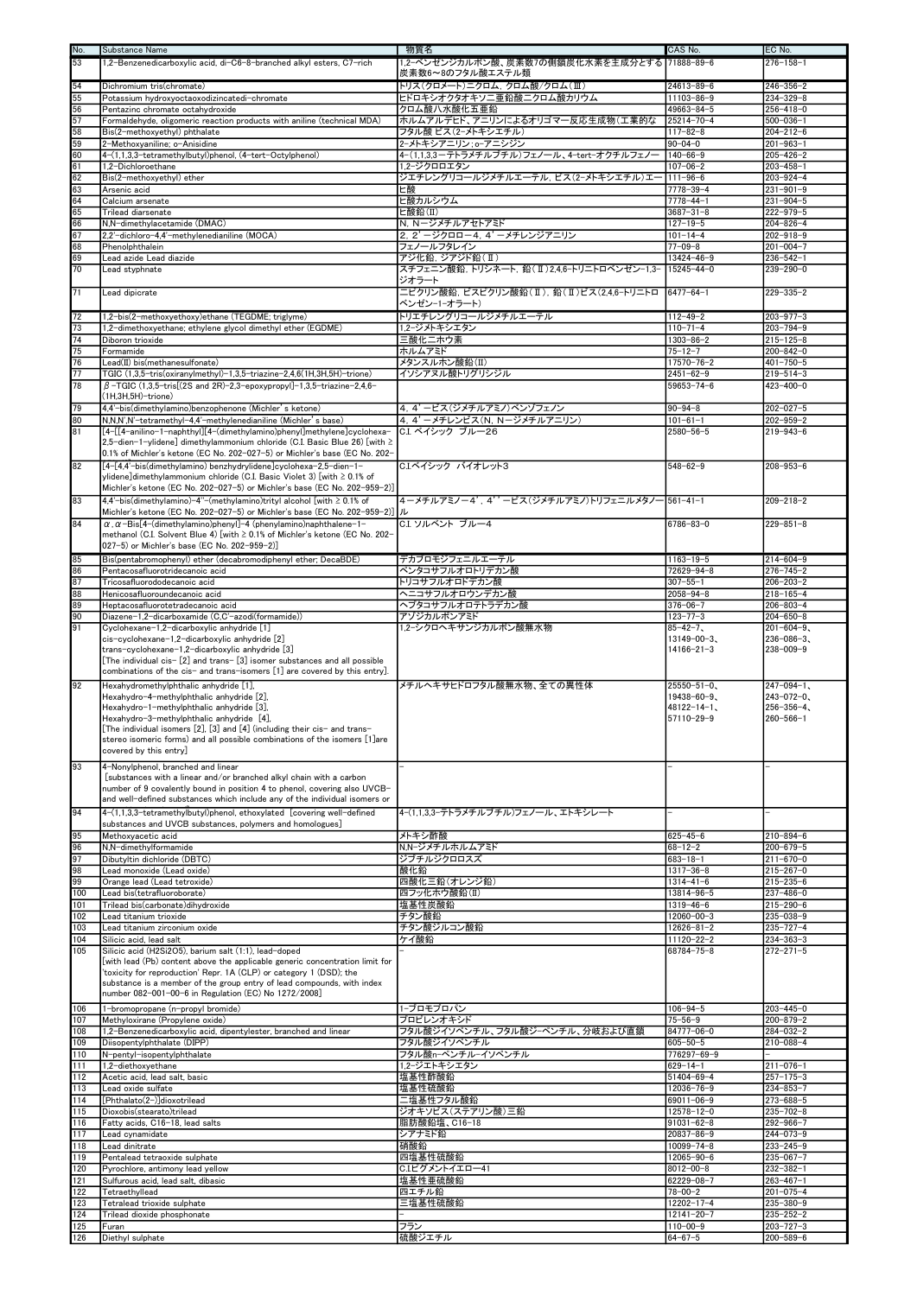| No.                                                                               | Substance Name                                                                                                                                           | 物質名                                                 | CAS No.                            | EC No.                             |
|-----------------------------------------------------------------------------------|----------------------------------------------------------------------------------------------------------------------------------------------------------|-----------------------------------------------------|------------------------------------|------------------------------------|
| 53                                                                                | 1,2-Benzenedicarboxylic acid, di-C6-8-branched alkyl esters, C7-rich                                                                                     | 1,2-ベンゼンジカルボン酸、炭素数7の側鎖炭化水素を主成分とする  71888-89-6       |                                    | $276 - 158 - 1$                    |
|                                                                                   |                                                                                                                                                          | 炭素数6~8のフタル酸エステル類                                    |                                    |                                    |
|                                                                                   | Dichromium tris(chromate)                                                                                                                                | トリス(クロメート)ニクロム、クロム酸/クロム(Ⅲ)                          | 24613-89-6                         | $246 - 356 - 2$                    |
|                                                                                   | Potassium hydroxyoctaoxodizincatedi-chromate                                                                                                             | ヒドロキシオクタオキソニ亜鉛酸ニクロム酸カリウム                            | $11103 - 86 - 9$                   | $234 - 329 - 8$                    |
|                                                                                   | Pentazinc chromate octahydroxide                                                                                                                         | クロム酸八水酸化五亜鉛                                         | 49663-84-5                         | $256 - 418 - 0$                    |
|                                                                                   | Formaldehyde, oligomeric reaction products with aniline (technical MDA)                                                                                  | ホルムアルデヒド、アニリンによるオリゴマ一反応生成物(工業的な                     | 25214-70-4                         | $500 - 036 - 1$                    |
| 51 55 56 57 58 59 60 61 62 63 64 65 66 67 68                                      | Bis(2-methoxyethyl) phthalate<br>2-Methoxvaniline: o-Anisidine                                                                                           | フタル酸 ビス(2ーメトキシエチル)<br>2-メトキシアニリン;o-アニシジン            | $117 - 82 - 8$<br>$90 - 04 - 0$    | $204 - 212 - 6$<br>$201 - 963 - 1$ |
|                                                                                   | 4-(1,1,3,3-tetramethylbutyl)phenol, (4-tert-Octylphenol)                                                                                                 | 4-(1,1,3,3-テトラメチルブチル)フェノール、4-tert-オクチルフェノー          | $140 - 66 - 9$                     | $205 - 426 - 2$                    |
|                                                                                   | 1,2-Dichloroethane                                                                                                                                       | 1.2-ジクロロエタン                                         | $107 - 06 - 2$                     | $203 - 458 - 1$                    |
|                                                                                   | Bis(2-methoxyethyl) ether                                                                                                                                | ジエチレングリコールジメチルエーテル, ビス(2-メトキシエチル)エー                 | $111 - 96 - 6$                     | $203 - 924 - 4$                    |
|                                                                                   | Arsenic acid                                                                                                                                             | ヒ酸                                                  | 7778-39-4                          | $231 - 901 - 9$                    |
|                                                                                   | Calcium arsenate                                                                                                                                         | ヒ酸カルシウム                                             | $7778 - 44 - 1$                    | $231 - 904 - 5$                    |
|                                                                                   | Trilead diarsenate                                                                                                                                       | ヒ酸鉛(II)                                             | $3687 - 31 - 8$                    | $222 - 979 - 5$                    |
|                                                                                   | N,N-dimethylacetamide (DMAC)                                                                                                                             | N, Nージメチルアセトアミド                                     | $127 - 19 - 5$                     | $204 - 826 - 4$                    |
|                                                                                   | 2,2'-dichloro-4,4'-methylenedianiline (MOCA)                                                                                                             | 2, 2' ージクロロー4, 4' ーメチレンジアニリン                        | $101 - 14 - 4$                     | $202 - 918 - 9$                    |
|                                                                                   | Phenolphthalein<br>Lead azide Lead diazide                                                                                                               | フェノールフタレイン<br>アジ化鉛. ジアジド鉛(II)                       | $77 - 09 - 8$<br>$13424 - 46 - 9$  | $201 - 004 - 7$<br>$236 - 542 - 1$ |
| $\frac{69}{70}$                                                                   | Lead styphnate                                                                                                                                           | スチフェニン酸鉛, トリシネート, 鉛(Ⅱ)2,4,6-トリニトロベンゼン-1,3-          | $15245 - 44 - 0$                   | $239 - 290 - 0$                    |
|                                                                                   |                                                                                                                                                          | ジオラート                                               |                                    |                                    |
| 71                                                                                | Lead dipicrate                                                                                                                                           | ニピクリン酸鉛, ビスピクリン酸鉛(Ⅱ), 鉛(Ⅱ)ビス(2.4,6-トリニトロ  6477-64-1 |                                    | $229 - 335 - 2$                    |
|                                                                                   |                                                                                                                                                          | ベンゼンー1ーオラート)                                        |                                    |                                    |
|                                                                                   | 1,2-bis(2-methoxyethoxy)ethane (TEGDME; triglyme)                                                                                                        | トリエチレングリコールジメチルエーテル                                 | $112 - 49 - 2$                     | $203 - 977 - 3$                    |
|                                                                                   | 1,2-dimethoxyethane; ethylene glycol dimethyl ether (EGDME)                                                                                              | 1.2ージメトキシエタン                                        | $110 - 71 - 4$                     | $203 - 794 - 9$                    |
|                                                                                   | Diboron trioxide                                                                                                                                         | 三酸化ニホウ素                                             | $1303 - 86 - 2$                    | $215 - 125 - 8$                    |
|                                                                                   | Formamide                                                                                                                                                | ホルムアミド                                              | $75 - 12 - 7$<br>$17570 - 76 - 2$  | $200 - 842 - 0$                    |
|                                                                                   | Lead(II) bis(methanesulfonate)<br>TGIC (1,3,5-tris(oxiranylmethyl)-1,3,5-triazine-2,4,6(1H,3H,5H)-trione)                                                | メタンスルホン酸鉛(II)                                       | $2451 - 62 - 9$                    | $401 - 750 - 5$<br>$219 - 514 - 3$ |
| $\frac{72}{73} \frac{73}{74} \frac{7}{75} \frac{7}{76} \frac{7}{77} \frac{1}{78}$ | $\beta$ -TGIC (1,3,5-tris[(2S and 2R)-2,3-epoxypropyl]-1,3,5-triazine-2,4,6-                                                                             | イソシアヌル酸トリグリシジル                                      | 59653-74-6                         | $423 - 400 - 0$                    |
|                                                                                   | $(H, 3H, 5H)$ -trione)                                                                                                                                   |                                                     |                                    |                                    |
| 79                                                                                | 4,4'-bis(dimethylamino)benzophenone (Michler's ketone)                                                                                                   | 4, 4' ービス(ジメチルアミノ)ベンゾフェノン                           | $90 - 94 - 8$                      | $202 - 027 - 5$                    |
| $\frac{80}{81}$                                                                   | N,N,N',N'-tetramethyl-4,4'-methylenedianiline (Michler's base)                                                                                           | 4, 4' ーメチレンビス(N, Nージメチルアニリン)                        | $101 - 61 - 1$                     | $202 - 959 - 2$                    |
|                                                                                   | [4-[[4-anilino-1-naphthyl][4-(dimethylamino)phenyl]methylene]cyclohexa-                                                                                  | C.I. ベイシック ブルー26                                    | 2580-56-5                          | $219 - 943 - 6$                    |
|                                                                                   | 2,5-dien-1-ylidene] dimethylammonium chloride (C.I. Basic Blue 26) [with $\ge$                                                                           |                                                     |                                    |                                    |
|                                                                                   | 0.1% of Michler's ketone (EC No. 202-027-5) or Michler's base (EC No. 202-                                                                               |                                                     |                                    |                                    |
| $\overline{82}$                                                                   | [4-[4,4'-bis(dimethylamino) benzhydrylidene]cyclohexa-2,5-dien-1-<br>ylidene]dimethylammonium chloride (C.I. Basic Violet 3) [with ≥ 0.1% of             | C.Iベイシック バイオレット3                                    | $548 - 62 - 9$                     | $208 - 953 - 6$                    |
|                                                                                   | Michler's ketone (EC No. 202-027-5) or Michler's base (EC No. 202-959-2)]                                                                                |                                                     |                                    |                                    |
| $\overline{83}$                                                                   | 4,4'-bis(dimethylamino)-4"-(methylamino)trityl alcohol [with ≥ 0.1% of                                                                                   | 4-メチルアミノー4', 4''ービス(ジメチルアミノ)トリフェニルメタノー561-41-1      |                                    | $209 - 218 - 2$                    |
|                                                                                   | Michler's ketone (EC No. 202-027-5) or Michler's base (EC No. 202-959-2)]                                                                                | 儿                                                   |                                    |                                    |
| $\overline{84}$                                                                   | $\alpha$ , $\alpha$ -Bis[4-(dimethylamino)phenyl]-4 (phenylamino)naphthalene-1-                                                                          | C.I. ソルベント ブルー4                                     | 6786-83-0                          | $229 - 851 - 8$                    |
|                                                                                   | methanol (C.I. Solvent Blue 4) [with ≥ 0.1% of Michler's ketone (EC No. 202-<br>027-5) or Michler's base (EC No. 202-959-2)]                             |                                                     |                                    |                                    |
|                                                                                   | Bis(pentabromophenyl) ether (decabromodiphenyl ether; DecaBDE)                                                                                           | デカブロモジフェニルエーテル                                      | $1163 - 19 - 5$                    | $214 - 604 - 9$                    |
|                                                                                   | Pentacosafluorotridecanoic acid                                                                                                                          | ペンタコサフルオロトリデカン酸                                     | 72629-94-8                         | $276 - 745 - 2$                    |
| <u> 이 이 이 이 이 이 다</u>                                                             | Tricosafluorododecanoic acid                                                                                                                             | トリコサフルオロドデカン酸                                       | $307 - 55 - 1$                     | $206 - 203 - 2$                    |
|                                                                                   | Henicosafluoroundecanoic acid                                                                                                                            | ヘニコサフルオロウンデカン酸                                      | 2058-94-8                          | $218 - 165 - 4$                    |
|                                                                                   | Heptacosafluorotetradecanoic acid                                                                                                                        | ヘプタコサフルオロテトラデカン酸                                    | $376 - 06 - 7$                     | $206 - 803 - 4$                    |
|                                                                                   | Diazene-1,2-dicarboxamide (C,C'-azodi(formamide))                                                                                                        | アゾジカルボンアミド                                          | $123 - 77 - 3$                     | $204 - 650 - 8$                    |
|                                                                                   | Cyclohexane-1,2-dicarboxylic anhydride [1]                                                                                                               | 1.2-シクロヘキサンジカルボン酸無水物                                | $85 - 42 - 7$                      | $201 - 604 - 9$                    |
|                                                                                   | cis-cyclohexane-1,2-dicarboxylic anhydride [2]                                                                                                           |                                                     | $13149 - 00 - 3$                   | $236 - 086 - 3$                    |
|                                                                                   | trans-cyclohexane-1,2-dicarboxylic anhydride [3]<br>[The individual cis- [2] and trans- [3] isomer substances and all possible                           |                                                     | $14166 - 21 - 3$                   | $238 - 009 - 9$                    |
|                                                                                   | combinations of the cis- and trans-isomers [1] are covered by this entry].                                                                               |                                                     |                                    |                                    |
| $\overline{92}$                                                                   | Hexahydromethylphthalic anhydride [1],                                                                                                                   | メチルヘキサヒドロフタル酸無水物、全ての異性体                             | 25550-51-0、                        | $247 - 094 - 1$                    |
|                                                                                   | Hexahydro-4-methylphthalic anhydride [2],                                                                                                                |                                                     | 19438-60-9、                        | $243 - 072 - 0$                    |
|                                                                                   | Hexahydro-1-methylphthalic anhydride [3],                                                                                                                |                                                     | $48122 - 14 - 1$ .                 | $256 - 356 - 4.$                   |
|                                                                                   | Hexahydro-3-methylphthalic anhydride [4],                                                                                                                |                                                     | 57110-29-9                         | $260 - 566 - 1$                    |
|                                                                                   | [The individual isomers [2], [3] and [4] (including their cis- and trans-<br>stereo isomeric forms) and all possible combinations of the isomers [1] are |                                                     |                                    |                                    |
|                                                                                   | covered by this entry.                                                                                                                                   |                                                     |                                    |                                    |
| 93                                                                                | 4-Nonylphenol, branched and linear                                                                                                                       |                                                     |                                    |                                    |
|                                                                                   | [substances with a linear and/or branched alkyl chain with a carbon                                                                                      |                                                     |                                    |                                    |
|                                                                                   | number of 9 covalently bound in position 4 to phenol, covering also UVCB-                                                                                |                                                     |                                    |                                    |
|                                                                                   | and well-defined substances which include any of the individual isomers or                                                                               |                                                     |                                    |                                    |
| $\overline{94}$                                                                   | 4-(1.1.3.3-tetramethylbutyl)phenol, ethoxylated [covering well-defined                                                                                   | 4-(1,1,3,3-テトラメチルブチル)フェノール、エトキシレート                  |                                    |                                    |
|                                                                                   | substances and UVCB substances, polymers and homologues]                                                                                                 |                                                     |                                    |                                    |
|                                                                                   | Methoxyacetic acid                                                                                                                                       | 外キシ酢酸                                               | 625-45-6                           | $210 - 894 - 6$                    |
|                                                                                   | N,N-dimethylformamide                                                                                                                                    | N.N-ジメチルホルムアミド                                      | 68-12-2                            | $200 - 679 - 5$                    |
|                                                                                   | Dibutyltin dichloride (DBTC)<br>Lead monoxide (Lead oxide)                                                                                               | ジブチルジクロロスズ<br>酸化鉛                                   | 683-18-1<br>$1317 - 36 - 8$        | $211 - 670 - 0$<br>$215 - 267 - 0$ |
| $\frac{1}{100}$                                                                   | Orange lead (Lead tetroxide)                                                                                                                             | 四酸化三鉛(オレンジ鉛)                                        | $1314 - 41 - 6$                    | $215 - 235 - 6$                    |
|                                                                                   | Lead bis(tetrafluoroborate)                                                                                                                              | 四フッ化ホウ酸鉛(II)                                        | 13814-96-5                         | $237 - 486 - 0$                    |
| 101                                                                               | Trilead bis(carbonate)dihydroxide                                                                                                                        | 塩基性炭酸鉛                                              | $1319 - 46 - 6$                    | $215 - 290 - 6$                    |
| 102                                                                               | Lead titanium trioxide                                                                                                                                   | チタン酸鉛                                               | 12060-00-3                         | 235-038-9                          |
| 103                                                                               | Lead titanium zirconium oxide                                                                                                                            | チタン酸ジルコン酸鉛                                          | $12626 - 81 - 2$                   | $235 - 727 - 4$                    |
| 104                                                                               | Silicic acid, lead salt                                                                                                                                  | ケイ酸鉛                                                | 11120-22-2                         | $234 - 363 - 3$                    |
| 105                                                                               | Silicic acid (H2Si2O5), barium salt (1:1), lead-doped                                                                                                    |                                                     | 68784-75-8                         | $272 - 271 - 5$                    |
|                                                                                   | [with lead (Pb) content above the applicable generic concentration limit for<br>'toxicity for reproduction' Repr. 1A (CLP) or category 1 (DSD); the      |                                                     |                                    |                                    |
|                                                                                   | substance is a member of the group entry of lead compounds, with index                                                                                   |                                                     |                                    |                                    |
|                                                                                   | number 082-001-00-6 in Regulation (EC) No 1272/2008]                                                                                                     |                                                     |                                    |                                    |
| 106                                                                               | 1-bromopropane (n-propyl bromide)                                                                                                                        | 1-ブロモプロパン                                           | $106 - 94 - 5$                     | $203 - 445 - 0$                    |
| 107<br>108                                                                        | Methyloxirane (Propylene oxide)                                                                                                                          | プロピレンオキシド<br>フタル酸ジイソペンチル、フタル酸ジーペンチル、分岐および直鎖         | 75-56-9<br>84777-06-0              | $200 - 879 - 2$<br>$284 - 032 - 2$ |
| 109                                                                               | 1,2-Benzenedicarboxylic acid, dipentylester, branched and linear<br>Diisopentylphthalate (DIPP)                                                          | フタル酸ジイソペンチル                                         | 605-50-5                           | $210 - 088 - 4$                    |
| 110                                                                               | N-pentyl-isopentylphthalate                                                                                                                              | フタル酸n-ペンチル-イソペンチル                                   | 776297-69-9                        |                                    |
| 111                                                                               | 1,2-diethoxyethane                                                                                                                                       | 1,2ージエトキシエタン                                        | $629 - 14 - 1$                     | $211 - 076 - 1$                    |
| 112                                                                               | Acetic acid, lead salt, basic                                                                                                                            | 塩基性酢酸鉛                                              | 51404-69-4                         | $257 - 175 - 3$                    |
| 113                                                                               | Lead oxide sulfate                                                                                                                                       | 塩基性硫酸鉛                                              | 12036-76-9                         | $234 - 853 - 7$                    |
| 114                                                                               | [Phthalato(2-)]dioxotrilead                                                                                                                              | 二塩基性フタル酸鉛                                           | 69011-06-9                         | $273 - 688 - 5$                    |
| 115<br>116                                                                        | Dioxobis(stearato)trilead                                                                                                                                | ジオキソビス(ステアリン酸)三鉛<br>脂肪酸鉛塩、C16-18                    | 12578-12-0<br>91031-62-8           | $235 - 702 - 8$<br>$292 - 966 - 7$ |
| 117                                                                               | Fatty acids, C16-18, lead salts<br>Lead cynamidate                                                                                                       | シアナミド鉛                                              | 20837-86-9                         | 244-073-9                          |
| 118                                                                               | Lead dinitrate                                                                                                                                           | 硝酸鉛                                                 | 10099-74-8                         | $233 - 245 - 9$                    |
| $\overline{119}$                                                                  | Pentalead tetraoxide sulphate                                                                                                                            | 四塩基性硫酸鉛                                             | 12065-90-6                         | $235 - 067 - 7$                    |
| 120                                                                               | Pyrochlore, antimony lead yellow                                                                                                                         | C.I.ピグメントイエロー41                                     | 8012-00-8                          | $232 - 382 - 1$                    |
| 121                                                                               | Sulfurous acid, lead salt, dibasic                                                                                                                       | 塩基性亜硫酸鉛                                             | 62229-08-7                         | $263 - 467 - 1$                    |
| 122                                                                               | Tetraethyllead                                                                                                                                           | 四エチル鉛                                               | 78-00-2                            | $201 - 075 - 4$                    |
| 123<br>124                                                                        | Tetralead trioxide sulphate                                                                                                                              | 三塩基性硫酸鉛                                             | 12202-17-4                         | 235-380-9                          |
| $\overline{125}$                                                                  | Trilead dioxide phosphonate<br>Furan                                                                                                                     | フラン                                                 | $12141 - 20 - 7$<br>$110 - 00 - 9$ | $235 - 252 - 2$<br>$203 - 727 - 3$ |
| 126                                                                               | Diethyl sulphate                                                                                                                                         | 硫酸ジエチル                                              | 64-67-5                            | $200 - 589 - 6$                    |
|                                                                                   |                                                                                                                                                          |                                                     |                                    |                                    |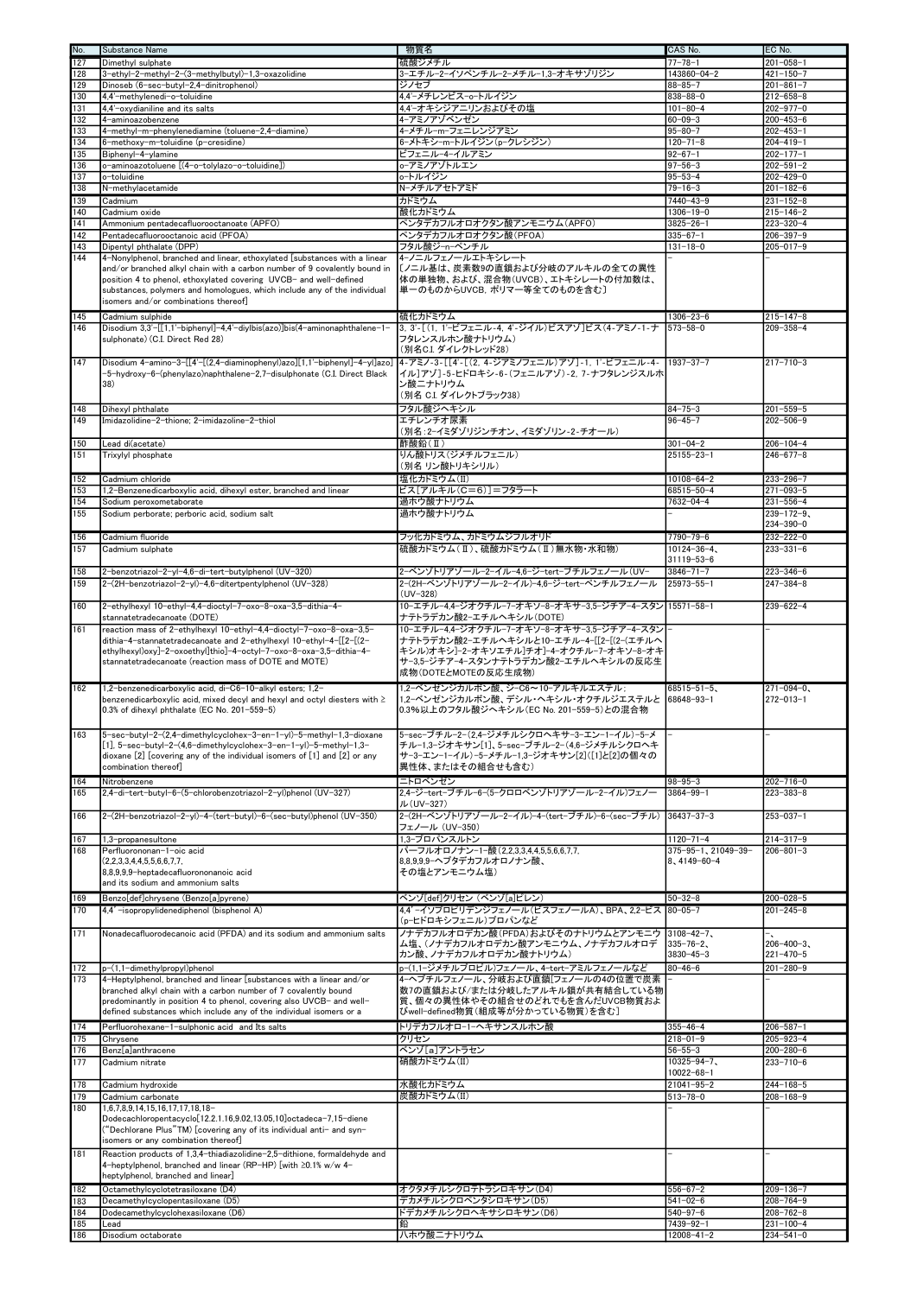| No.                     | Substance Name                                                                                                                                                                                                                                                                                                                                  | 物質名                                                                                                                                                         | CAS No.                                        | EC No.                               |
|-------------------------|-------------------------------------------------------------------------------------------------------------------------------------------------------------------------------------------------------------------------------------------------------------------------------------------------------------------------------------------------|-------------------------------------------------------------------------------------------------------------------------------------------------------------|------------------------------------------------|--------------------------------------|
| 127                     | Dimethyl sulphate                                                                                                                                                                                                                                                                                                                               | 硫酸ジメチル                                                                                                                                                      | $77 - 78 - 1$                                  | $201 - 058 - 1$                      |
| 128<br>129              | 3-ethyl-2-methyl-2-(3-methylbutyl)-1,3-oxazolidine<br>Dinoseb (6-sec-butyl-2,4-dinitrophenol)                                                                                                                                                                                                                                                   | 3-エチル-2-イソペンチル-2-メチル-1,3-オキサゾリジン<br>ジノセブ                                                                                                                    | 143860-04-2<br>$88 - 85 - 7$                   | $421 - 150 - 7$<br>$201 - 861 - 7$   |
| 130                     | 4,4'-methylenedi-o-toluidine                                                                                                                                                                                                                                                                                                                    | 4.4'ーメチレンビスーoートルイジン                                                                                                                                         | $838 - 88 - 0$                                 | $212 - 658 - 8$                      |
| 131                     | 4,4'-oxydianiline and its salts                                                                                                                                                                                                                                                                                                                 | 4,4'-オキシジアニリンおよびその塩                                                                                                                                         | $101 - 80 - 4$                                 | $202 - 977 - 0$                      |
| 132                     | 4-aminoazobenzene                                                                                                                                                                                                                                                                                                                               | 4-アミノアゾベンゼン                                                                                                                                                 | $60 - 09 - 3$                                  | $200 - 453 - 6$                      |
| 133                     | 4-methyl-m-phenylenediamine (toluene-2,4-diamine)                                                                                                                                                                                                                                                                                               | 4-メチル-m-フェニレンジアミン                                                                                                                                           | $95 - 80 - 7$                                  | $202 - 453 - 1$                      |
| 134<br>135              | 6-methoxy-m-toluidine (p-cresidine)                                                                                                                                                                                                                                                                                                             | 6-メトキシ-m-トルイジン(p-クレシジン)<br>ビフェニル-4-イルアミン                                                                                                                    | $120 - 71 - 8$<br>$92 - 67 - 1$                | $204 - 419 - 1$<br>$202 - 177 - 1$   |
| 136                     | Biphenyl-4-ylamine<br>o-aminoazotoluene [(4-o-tolylazo-o-toluidine])                                                                                                                                                                                                                                                                            | o-アミノアゾトルエン                                                                                                                                                 | $97 - 56 - 3$                                  | $202 - 591 - 2$                      |
| 137                     | o-toluidine                                                                                                                                                                                                                                                                                                                                     | lo-トルイジン                                                                                                                                                    | $95 - 53 - 4$                                  | 202-429-0                            |
| 138                     | N-methylacetamide                                                                                                                                                                                                                                                                                                                               | N-メチルアセトアミド                                                                                                                                                 | $79 - 16 - 3$                                  | $201 - 182 - 6$                      |
| 139                     | Cadmium                                                                                                                                                                                                                                                                                                                                         | カドミウム                                                                                                                                                       | $7440 - 43 - 9$                                | $231 - 152 - 8$                      |
| $\overline{140}$<br>141 | Cadmium oxide<br>Ammonium pentadecafluorooctanoate (APFO)                                                                                                                                                                                                                                                                                       | 酸化カドミウム<br>ペンタデカフルオロオクタン酸アンモニウム(APFO)                                                                                                                       | $1306 - 19 - 0$<br>$3825 - 26 - 1$             | $215 - 146 - 2$<br>$223 - 320 - 4$   |
| 142                     | Pentadecafluorooctanoic acid (PFOA)                                                                                                                                                                                                                                                                                                             | ペンタデカフルオロオクタン酸(PFOA)                                                                                                                                        | $335 - 67 - 1$                                 | $206 - 397 - 9$                      |
| 143                     | Dipentyl phthalate (DPP)                                                                                                                                                                                                                                                                                                                        | フタル酸ジーnーペンチル                                                                                                                                                | $131 - 18 - 0$                                 | $205 - 017 - 9$                      |
| 144                     | 4-Nonylphenol, branched and linear, ethoxylated [substances with a linear<br>and/or branched alkyl chain with a carbon number of 9 covalently bound in<br>position 4 to phenol, ethoxylated covering UVCB- and well-defined<br>substances, polymers and homologues, which include any of the individual<br>isomers and/or combinations thereof] | 4-ノニルフェノールエトキシレート<br>[/ニル基は、炭素数9の直鎖および分岐のアルキルの全ての異性<br>体の単独物、および、混合物(UVCB)、エトキシレートの付加数は、<br>単一のものからUVCB, ポリマー等全てのものを含む〕                                     |                                                |                                      |
| 145<br>146              | Cadmium sulphide<br>Disodium 3,3'-[[1,1'-biphenyl]-4,4'-diylbis(azo)]bis(4-aminonaphthalene-1-<br>sulphonate) (C.I. Direct Red 28)                                                                                                                                                                                                              | 硫化カドミウム<br>3, 3'-[(1, 1'-ビフェニル-4, 4'-ジイル)ビスアゾ]ビス(4-アミノ-1-ナ<br>フタレンスルホン酸ナトリウム)<br>(別名C.I. ダイレクトレッド28)                                                        | $1306 - 23 - 6$<br>$573 - 58 - 0$              | $215 - 147 - 8$<br>$209 - 358 - 4$   |
| 147                     | Disodium 4-amino-3-[[4'-[(2,4-diaminophenyl)azo][1,1'-biphenyl]-4-yl]azo]<br>-5-hydroxy-6-(phenylazo)naphthalene-2,7-disulphonate (C.I. Direct Black<br>38)                                                                                                                                                                                     | 4-アミノ-3-[[4'-[(2, 4-ジアミノフェニル)アゾ]-1, 1'-ビフェニル-4-<br>イル]アゾ]-5-ヒドロキシ-6-(フェニルアゾ)-2, 7-ナフタレンジスルホ<br>ン酸ニナトリウム<br>(別名 C.I. ダイレクトブラック38)                            | 1937-37-7                                      | $217 - 710 - 3$                      |
| 148                     | Dihexyl phthalate                                                                                                                                                                                                                                                                                                                               | フタル酸ジヘキシル                                                                                                                                                   | $84 - 75 - 3$                                  | $201 - 559 - 5$                      |
| 149                     | Imidazolidine-2-thione; 2-imidazoline-2-thiol                                                                                                                                                                                                                                                                                                   | エチレンチオ尿素<br>(別名:2ーイミダゾリジンチオン、イミダゾリン-2-チオール)                                                                                                                 | $96 - 45 - 7$                                  | $202 - 506 - 9$                      |
| 150                     | Lead di(acetate)                                                                                                                                                                                                                                                                                                                                | 酢酸鉛(II)                                                                                                                                                     | $301 - 04 - 2$                                 | $206 - 104 - 4$                      |
| 151                     | Trixvlvl phosphate                                                                                                                                                                                                                                                                                                                              | りん酸トリス(ジメチルフェニル)                                                                                                                                            | $25155 - 23 - 1$                               | $246 - 677 - 8$                      |
|                         |                                                                                                                                                                                                                                                                                                                                                 | (別名 リン酸トリキシリル)                                                                                                                                              |                                                |                                      |
| 152<br>153              | Cadmium chloride<br>1,2-Benzenedicarboxylic acid, dihexyl ester, branched and linear                                                                                                                                                                                                                                                            | 塩化カドミウム(II)<br>ビス[アルキル(C=6)]=フタラート                                                                                                                          | $10108 - 64 - 2$<br>68515-50-4                 | $233 - 296 - 7$<br>$271 - 093 - 5$   |
| 154                     | Sodium peroxometaborate                                                                                                                                                                                                                                                                                                                         | 過ホウ酸ナトリウム                                                                                                                                                   | 7632-04-4                                      | $231 - 556 - 4$                      |
| 155                     | Sodium perborate; perboric acid, sodium salt                                                                                                                                                                                                                                                                                                    | 過ホウ酸ナトリウム                                                                                                                                                   |                                                | $239 - 172 - 9$                      |
|                         |                                                                                                                                                                                                                                                                                                                                                 |                                                                                                                                                             |                                                | 234-390-0                            |
| 156<br>157              | Cadmium fluoride<br>Cadmium sulphate                                                                                                                                                                                                                                                                                                            | フッ化カドミウム、カドミウムジフルオリド<br>硫酸カドミウム(Ⅱ)、硫酸カドミウム(Ⅱ)無水物・水和物)                                                                                                       | 7790-79-6<br>$10124 - 36 - 4$<br>31119-53-6    | $232 - 222 - 0$<br>$233 - 331 - 6$   |
| 158                     | 2-benzotriazol-2-yl-4,6-di-tert-butylphenol (UV-320)                                                                                                                                                                                                                                                                                            | 2-ベンゾトリアゾール-2-イル-4,6-ジ-tert-ブチルフェノール(UV-                                                                                                                    | $3846 - 71 - 7$                                | $223 - 346 - 6$                      |
| 159                     | 2-(2H-benzotriazol-2-yl)-4,6-ditertpentylphenol (UV-328)                                                                                                                                                                                                                                                                                        | 2-(2H-ベンゾトリアゾール-2-イル)-4,6-ジ-tert-ペンチルフェノール                                                                                                                  | $25973 - 55 - 1$                               | $247 - 384 - 8$                      |
| 160                     | 2-ethylhexyl 10-ethyl-4,4-dioctyl-7-oxo-8-oxa-3,5-dithia-4-                                                                                                                                                                                                                                                                                     | $(UV-328)$<br>10-エチル-4.4-ジオクチル-7-オキソ-8-オキサ-3.5-ジチア-4-スタン 15571-58-1                                                                                         |                                                | $239 - 622 - 4$                      |
| 161                     | stannatetradecanoate (DOTE)<br>reaction mass of 2-ethylhexyl 10-ethyl-4,4-dioctyl-7-oxo-8-oxa-3,5-                                                                                                                                                                                                                                              | ナテトラデカン酸2ーエチルヘキシル(DOTE)<br>10-エチル-4.4-ジオクチル-7-オキソ-8-オキサ-3.5-ジチア-4-スタン                                                                                       |                                                |                                      |
|                         | dithia-4-stannatetradecanoate and 2-ethylhexyl 10-ethyl-4-[[2-[(2-<br>ethylhexyl)oxy]-2-oxoethyl]thio]-4-octyl-7-oxo-8-oxa-3,5-dithia-4-<br>stannatetradecanoate (reaction mass of DOTE and MOTE)                                                                                                                                               | ナテトラデカン酸2ーエチルヘキシルと10ーエチルー4ー[[2ー[(2ー(エチルヘ<br>キシル)オキシ]ー2ーオキソエチル]チオ]ー4ーオクチルー7ーオキソー8ーオキ<br>サー3,5ージチアー4ースタンナテトラデカン酸2ーエチルヘキシルの反応生<br>成物(DOTEとMOTEの反応生成物)          |                                                |                                      |
| 162                     | 1,2-benzenedicarboxylic acid, di-C6-10-alkyl esters; 1,2-<br>benzenedicarboxylic acid, mixed decyl and hexyl and octyl diesters with 2<br>0.3% of dihexyl phthalate (EC No. 201-559-5)                                                                                                                                                          | 1.2-ベンゼンジカルボン酸、ジ-C6~10-アルキルエステル:<br>1,2ーベンゼンジカルボン酸、デシル・ヘキシル・オクチルジエステルと  68648ー93ー1<br>0.3%以上のフタル酸ジへキシル(EC No. 201-559-5)との混合物                               | 68515-51-5、                                    | $271 - 094 - 0$ ,<br>$272 - 013 - 1$ |
| 163                     | 5-sec-butyl-2-(2,4-dimethylcyclohex-3-en-1-yl)-5-methyl-1,3-dioxane<br>$[1]$ , 5-sec-butyl-2-(4,6-dimethylcyclohex-3-en-1-yl)-5-methyl-1,3-<br>dioxane [2] [covering any of the individual isomers of [1] and [2] or any<br>combination thereof]                                                                                                | 5-sec-ブチル-2-(2,4-ジメチルシクロへキサ-3-エン-1-イル)-5-メ<br>チル-1,3-ジオキサン[1]、5-sec-ブチル-2-(4,6-ジメチルシクロヘキ<br>サー3ーエンー1ーイル)ー5ーメチルー1,3ージオキサン[2]([1]と[2]の個々の<br>異性体、またはその組合せも含む) |                                                |                                      |
| 164<br>165              | Nitrobenzene<br>2,4-di-tert-butyl-6-(5-chlorobenzotriazol-2-yl)phenol (UV-327)                                                                                                                                                                                                                                                                  | ニトロベンゼン<br>2.4-ジ-tert-ブチル-6-(5-クロロベンゾトリアゾール-2-イル)フェノー                                                                                                       | $98 - 95 - 3$<br>3864-99-1                     | $202 - 716 - 0$<br>$223 - 383 - 8$   |
| 166                     | 2-(2H-benzotriazol-2-yl)-4-(tert-butyl)-6-(sec-butyl)phenol (UV-350)                                                                                                                                                                                                                                                                            | ル(UV-327)<br>2-(2H-ベンゾトリアゾール-2-イル)-4-(tert-ブチル)-6-(sec-ブチル)                                                                                                 | $36437 - 37 - 3$                               | $253 - 037 - 1$                      |
| 167                     | 1,3-propanesultone                                                                                                                                                                                                                                                                                                                              | フェノール (UV-350)<br>1,3-プロパンスルトン                                                                                                                              | $1120 - 71 - 4$                                | $214 - 317 - 9$                      |
| 168                     | Perfluorononan-1-oic acid<br>(2,2,3,3,4,4,5,5,6,6,7,7,<br>8,8,9,9,9-heptadecafluorononanoic acid<br>and its sodium and ammonium salts                                                                                                                                                                                                           | パーフルオロノナン-1-酸(2,2,3,3,4,4,5,5,6,6,7,7,<br>8,8,9,9,9 へプタデカフルオロノナン酸、<br>その塩とアンモニウム塩)                                                                          | 375-95-1, 21049-39-<br>8.4149-60-4             | $206 - 801 - 3$                      |
| 169<br>170              | Benzo[def]chrysene (Benzo[a]pyrene)<br>4,4'-isopropylidenediphenol (bisphenol A)                                                                                                                                                                                                                                                                | ベンゾ[def]クリセン (ベンゾ[a]ピレン)<br>4.4' -イソプロピリデンジフェノール (ビスフェノールA)、BPA、2.2-ビス  80-05-7                                                                             | 50-32-8                                        | $200 - 028 - 5$<br>$201 - 245 - 8$   |
|                         |                                                                                                                                                                                                                                                                                                                                                 | (p-ヒドロキシフェニル)プロパンなど                                                                                                                                         |                                                |                                      |
| 171                     | Nonadecafluorodecanoic acid (PFDA) and its sodium and ammonium salts                                                                                                                                                                                                                                                                            | ノナデカフルオロデカン酸(PFDA)およびそのナトリウムとアンモニウ<br>ム塩、(ノナデカフルオロデカン酸アンモニウム、ノナデカフルオロデ<br> カン酸、ノナデカフルオロデカン酸ナトリウム)                                                           | $3108 - 42 - 7$<br>$335 - 76 - 2$<br>3830-45-3 | $206 - 400 - 3$<br>$221 - 470 - 5$   |
| 172                     | p-(1,1-dimethylpropyl)phenol                                                                                                                                                                                                                                                                                                                    | p-(1,1-ジメチルプロピル)フェノール、4-tert-アミルフェノールなど                                                                                                                     | $80 - 46 - 6$                                  | $201 - 280 - 9$                      |
| 173                     | 4-Heptylphenol, branched and linear [substances with a linear and/or<br>branched alkyl chain with a carbon number of 7 covalently bound<br>predominantly in position 4 to phenol, covering also UVCB- and well-<br>defined substances which include any of the individual isomers or a                                                          | 4-ヘプチルフェノール、分岐および直鎖[フェノールの4の位置で炭素<br>数7の直鎖および/または分岐したアルキル鎖が共有結合している物<br>質、個々の異性体やその組合せのどれでもを含んだUVCB物質およ<br>びwell-defined物質(組成等が分かっている物質)を含む]                |                                                |                                      |
| 174                     | Perfluorohexane-1-sulphonic acid and Its salts                                                                                                                                                                                                                                                                                                  | トリデカフルオロ-1-ヘキサンスルホン酸                                                                                                                                        | 355-46-4                                       | $206 - 587 - 1$                      |
| 175<br>176              | Chrysene                                                                                                                                                                                                                                                                                                                                        | クリセン<br>ベンゾ[a]アントラセン                                                                                                                                        | $218 - 01 - 9$<br>$56 - 55 - 3$                | $205 - 923 - 4$<br>$200 - 280 - 6$   |
| 177                     | Benz[a]anthracene<br>Cadmium nitrate                                                                                                                                                                                                                                                                                                            | 硝酸カドミウム(II)                                                                                                                                                 | $10325 - 94 - 7$                               | $233 - 710 - 6$                      |
|                         |                                                                                                                                                                                                                                                                                                                                                 |                                                                                                                                                             | $10022 - 68 - 1$                               |                                      |
| 178<br>179              | Cadmium hydroxide                                                                                                                                                                                                                                                                                                                               | 水酸化カドミウム<br>炭酸カドミウム(II)                                                                                                                                     | 21041-95-2<br>$513 - 78 - 0$                   | $244 - 168 - 5$<br>$208 - 168 - 9$   |
| 180                     | Cadmium carbonate<br>1,6,7,8,9,14,15,16,17,17,18,18-<br>Dodecachloropentacyclo[12.2.1.16,9.02,13.05,10]octadeca-7,15-diene<br>("Dechlorane Plus"TM) [covering any of its individual anti- and syn-                                                                                                                                              |                                                                                                                                                             |                                                |                                      |
| 181                     | isomers or any combination thereof]<br>Reaction products of 1,3,4-thiadiazolidine-2,5-dithione, formaldehyde and<br>4-heptylphenol, branched and linear (RP-HP) [with ≥0.1% w/w 4-<br>heptylphenol, branched and linear]                                                                                                                        |                                                                                                                                                             |                                                |                                      |
| 182                     | Octamethylcyclotetrasiloxane (D4)                                                                                                                                                                                                                                                                                                               | オクタメチルシクロテトラシロキサン(D4)                                                                                                                                       | 556-67-2                                       | $209 - 136 - 7$                      |
| 183<br>184              | Decamethylcyclopentasiloxane (D5)<br>Dodecamethylcyclohexasiloxane (D6)                                                                                                                                                                                                                                                                         | デカメチルシクロペンタシロキサン(D5)<br>ドデカメチルシクロヘキサシロキサン(D6)                                                                                                               | $541 - 02 - 6$<br>540-97-6                     | $208 - 764 - 9$<br>$208 - 762 - 8$   |
| 185                     | Lead                                                                                                                                                                                                                                                                                                                                            | 鉛                                                                                                                                                           | 7439-92-1                                      | $231 - 100 - 4$                      |
| 186                     | Disodium octaborate                                                                                                                                                                                                                                                                                                                             | ハホウ酸ニナトリウム                                                                                                                                                  | $12008 - 41 - 2$                               | $234 - 541 - 0$                      |